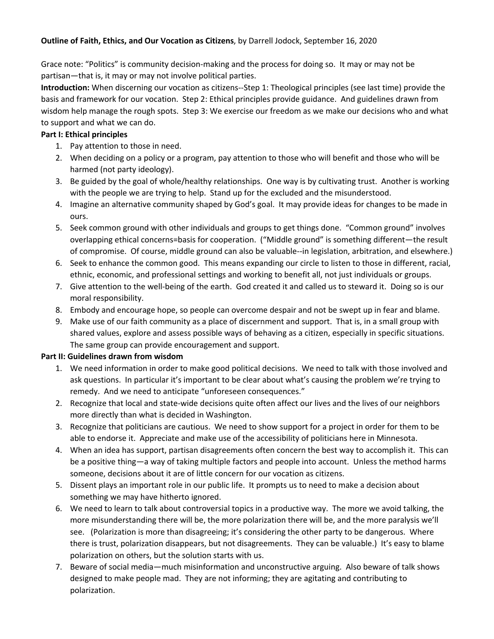## **Outline of Faith, Ethics, and Our Vocation as Citizens**, by Darrell Jodock, September 16, 2020

Grace note: "Politics" is community decision-making and the process for doing so. It may or may not be partisan—that is, it may or may not involve political parties.

**Introduction:** When discerning our vocation as citizens--Step 1: Theological principles (see last time) provide the basis and framework for our vocation. Step 2: Ethical principles provide guidance. And guidelines drawn from wisdom help manage the rough spots. Step 3: We exercise our freedom as we make our decisions who and what to support and what we can do.

## **Part I: Ethical principles**

- 1. Pay attention to those in need.
- 2. When deciding on a policy or a program, pay attention to those who will benefit and those who will be harmed (not party ideology).
- 3. Be guided by the goal of whole/healthy relationships. One way is by cultivating trust. Another is working with the people we are trying to help. Stand up for the excluded and the misunderstood.
- 4. Imagine an alternative community shaped by God's goal. It may provide ideas for changes to be made in ours.
- 5. Seek common ground with other individuals and groups to get things done. "Common ground" involves overlapping ethical concerns=basis for cooperation. ("Middle ground" is something different—the result of compromise. Of course, middle ground can also be valuable--in legislation, arbitration, and elsewhere.)
- 6. Seek to enhance the common good. This means expanding our circle to listen to those in different, racial, ethnic, economic, and professional settings and working to benefit all, not just individuals or groups.
- 7. Give attention to the well-being of the earth. God created it and called us to steward it. Doing so is our moral responsibility.
- 8. Embody and encourage hope, so people can overcome despair and not be swept up in fear and blame.
- 9. Make use of our faith community as a place of discernment and support. That is, in a small group with shared values, explore and assess possible ways of behaving as a citizen, especially in specific situations. The same group can provide encouragement and support.

## **Part II: Guidelines drawn from wisdom**

- 1. We need information in order to make good political decisions. We need to talk with those involved and ask questions. In particular it's important to be clear about what's causing the problem we're trying to remedy. And we need to anticipate "unforeseen consequences."
- 2. Recognize that local and state-wide decisions quite often affect our lives and the lives of our neighbors more directly than what is decided in Washington.
- 3. Recognize that politicians are cautious. We need to show support for a project in order for them to be able to endorse it. Appreciate and make use of the accessibility of politicians here in Minnesota.
- 4. When an idea has support, partisan disagreements often concern the best way to accomplish it. This can be a positive thing—a way of taking multiple factors and people into account. Unless the method harms someone, decisions about it are of little concern for our vocation as citizens.
- 5. Dissent plays an important role in our public life. It prompts us to need to make a decision about something we may have hitherto ignored.
- 6. We need to learn to talk about controversial topics in a productive way. The more we avoid talking, the more misunderstanding there will be, the more polarization there will be, and the more paralysis we'll see. (Polarization is more than disagreeing; it's considering the other party to be dangerous. Where there is trust, polarization disappears, but not disagreements. They can be valuable.) It's easy to blame polarization on others, but the solution starts with us.
- 7. Beware of social media—much misinformation and unconstructive arguing. Also beware of talk shows designed to make people mad. They are not informing; they are agitating and contributing to polarization.